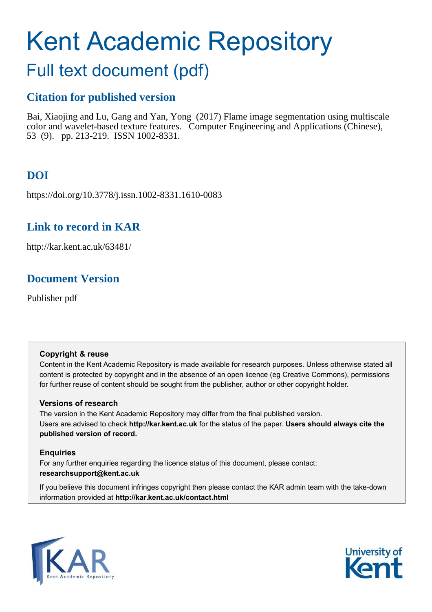# Kent Academic Repository

# Full text document (pdf)

# **Citation for published version**

Bai, Xiaojing and Lu, Gang and Yan, Yong (2017) Flame image segmentation using multiscale color and wavelet-based texture features. Computer Engineering and Applications (Chinese), 53 (9). pp. 213-219. ISSN 1002-8331.

# **DOI**

https://doi.org/10.3778/j.issn.1002-8331.1610-0083

# **Link to record in KAR**

http://kar.kent.ac.uk/63481/

# **Document Version**

Publisher pdf

#### **Copyright & reuse**

Content in the Kent Academic Repository is made available for research purposes. Unless otherwise stated all content is protected by copyright and in the absence of an open licence (eg Creative Commons), permissions for further reuse of content should be sought from the publisher, author or other copyright holder.

#### **Versions of research**

The version in the Kent Academic Repository may differ from the final published version. Users are advised to check **http://kar.kent.ac.uk** for the status of the paper. **Users should always cite the published version of record.**

#### **Enquiries**

For any further enquiries regarding the licence status of this document, please contact: **researchsupport@kent.ac.uk**

If you believe this document infringes copyright then please contact the KAR admin team with the take-down information provided at **http://kar.kent.ac.uk/contact.html**



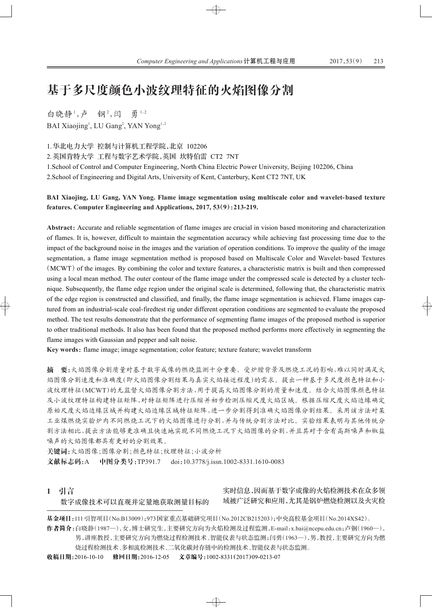# 基于多尺度颜色小波纹理特征的火焰图像分割

白晓静<sup>1</sup>,卢 钢<sup>2</sup>,闫 勇<sup>1,2</sup> BAI Xiaojing<sup>1</sup>, LU Gang<sup>2</sup>, YAN Yong<sup>1,2</sup>

1. 华北电力大学 控制与计算机工程学院, 北京 102206

2. 英国肯特大学 工程与数字艺术学院, 英国 坎特伯雷 CT2 7NT

1.School of Control and Computer Engineering, North China Electric Power University, Beijing 102206, China 2.School of Engineering and Digital Arts, University of Kent, Canterbury, Kent CT2 7NT, UK

#### **BAI Xiaojing, LU Gang, YAN Yong. Flame image segmentation using multiscale color and wavelet-based texture** features. Computer Engineering and Applications,  $2017$ ,  $53(9)$ :  $213-219$ .

Abstract: Accurate and reliable segmentation of flame images are crucial in vision based monitoring and characterization of flames. It is, however, difficult to maintain the segmentation accuracy while achieving fast processing time due to the impact of the background noise in the images and the variation of operation conditions. To improve the quality of the image segmentation, a flame image segmentation method is proposed based on Multiscale Color and Wavelet- based Textures  $(MCWT)$  of the images. By combining the color and texture features, a characteristic matrix is built and then compressed using a local mean method. The outer contour of the flame image under the compressed scale is detected by a cluster technique. Subsequently, the flame edge region under the original scale is determined, following that, the characteristic matrix of the edge region is constructed and classified, and finally, the flame image segmentation is achieved. Flame images captured from an industrial-scale coal-firedtest rig under different operation conditions are segmented to evaluate the proposed method. The test results demonstrate that the performance of segmenting flame images of the proposed method is superior to other traditional methods. It also has been found that the proposed method performs more effectively in segmenting the flame images with Gaussian and pepper and salt noise.

Key words: flame image; image segmentation; color feature; texture feature; wavelet transform

摘 要:火焰图像分割质量对基于数字成像的燃烧监测十分重要。受炉膛背景及燃烧工况的影响,难以同时满足火 焰图像分割速度和准确度(即火焰图像分割结果与真实火焰接近程度)的需求。提出一种基于多尺度颜色特征和小 波纹理特征(MCWT)的无监督火焰图像分割于提高火焰图像分割的质量和速度。结合火焰图像颜色特征 及小波纹理特征构建特征矩阵,对特征矩阵进行压缩并初步检测压缩尺度火焰区域。根据压缩尺度火焰边缘确定 原始尺度火焰边缘区域的短线的运动特征矩阵,进一步分割得到准确火焰图像分割结果。采用该方法对某 工业煤燃烧实验炉内不同燃烧工况下的火焰图像进行分割,并与传统分割方法对比。实验结果表明与其他传统分 割方法相比,提出方法能够更准确且快速地实现不同燃烧工况下火焰图像的分割,并且其对于含有高斯噪声和椒盐 噪声的火焰图像都具有更好的分割效果。

关键词:火焰图像;图像分割;颜色特征;纹理特征;小波分析 文献标志码:A 中图分类号:TP391.7 doi:10.3778/j.issn.1002-8331.1610-0083

1 引言

数字成像技术可以直观并定量地获取测量目标的

实时信息,因而基于数字成像的火焰检测技术在众多领 域被广泛研究和应用,尤其是锅炉燃烧检测以及火灾检

基金项目:111引智项目(No.B13009);973国家重点基础研究项目(No.2012CB215203);中央高校基金项目(No.2014XS42)。

作者简介:白晓静(1987—),女,博士研究生,主要研究方向为火焰检测及过程监测, E-mail:x.bai@ncepu.edu.cn;卢钢(1960—), 男,讲座教授,主要研究方向为燃烧过程检测技术、智能仪表与状态监测;闫勇(1963—),男,教授,主要研究方向为燃 烧过程检测技术、多相流检测技术、二氧化碳封存链中的检测技术、智能仪表与状态监测。

 $\oplus$ 

收稿日期:2016-10-10 修回日期:2016-12-05 文章编号:1002-8331(2017)09-0213-07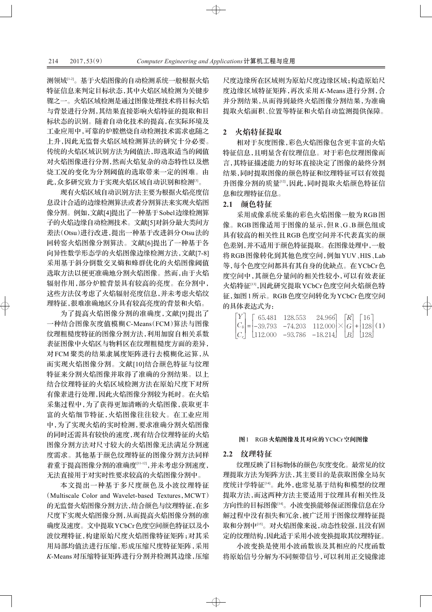测领域[1-2]。基于火焰图像的自动检测系统一般根据火焰 特征信息来判定目标状态,其中火焰区域检测为关键步 骤之一。火焰区域检测是通过图像处理技术将目标火焰 与背景进行分割,其结果直接影响火焰特征的提取和目 标状态的识别。随着自动化技术的提高,在实际环境及 工业应用中,可靠的炉膛燃烧自动检测技术需求也随之 上升,因此无监督火焰区域检测算法的研究十分必要。 传统的火焰区域识别方法为阈值法,即选取适当的阈值 对火焰图像进行分割,然而火焰复杂的动态特性以及燃 烧工况的变化为分割阈值的选取带来一定的困难。由 此,众多研究致力于实现火焰区域自动识别和检测<sup>[3]</sup>。

现有火焰区域自动识别方法主要为根据火焰亮度信 息设计合适的边缘检测算法或者分割算法来实现火焰图 像分割。例如,文献[4]提出了一种基于Sobel边缘检测算 子的火焰边缘自动检测技术。文献[5]对斜分最大类间方 差法(Otsu)进行改进,提出一种基于改进斜分Otsu法的 回转窑火焰图像分割算法。文献[6]提出了一种基于各 向异性数学形态学的火焰图像边缘检测方法,文献[7-8] 采用基于斜分倒数交叉熵和蜂群优化的火焰图像阈值 选取方法以便更准确地分割火焰图像。然而,由于火焰 辐射作用,部分炉膛背景具有较高的亮度。在分割中, 这些方法仅考虑了火焰辐射亮度信息,并未考虑火焰纹 理特征,很难准确地区分具有较高亮度的背景和火焰。

为了提高火焰图像分割的准确度,文献[9]提出了 一种结合图像灰度值模糊 C-Means(FCM)算法与图像 纹理粗糙度特征的图像分割方法,利用加窗自相关系数 表征图像中火焰区与物料区在纹理粗糙度方面的差异, 对 FCM 聚类的结果隶属度矩阵进行去模糊化运算, 从 而实现火焰图像分割。文献[10]结合颜色特征与纹理 特征来分割火焰图像并取得了准确的分割结果。以上 结合纹理特征的火焰区域检测方法在原始尺度下对所 有像素进行处理,因此火焰图像分割较为耗时。在火焰 采集过程中,为了获得更加清晰的火焰图像,获取更丰 富的火焰细节特征,火焰图像往往较大。在工业应用 中,为了实现火焰的实时检测,要求准确分割火焰图像 的同时还需具有较快的速度,现有结合纹理特征的火焰 图像分割方法对尺寸较大的火焰图像无法满足分割速 度需求。其他基于颜色纹理特征的图像分割方法同样 着重于提高图像分割的准确度[11-12],并未考虑分割速度, 无法直接用于对实时性要求较高的火焰图像分割中。

本文提出一种基于多尺度颜色及小波纹理特征 (Multiscale Color and Wavelet-based Textures, MCWT) 的无监督火焰图像分割方法,结合颜色与纹理特征,在多 尺度下实现火焰图像分割,从而提高火焰图像分割的准 确度及速度。文中提取 YCbCr色度空间颜色特征以及小 波纹理特征,构建原始尺度火焰图像特征矩阵;对其采 用局部均值法进行压缩,形成压缩尺度特征矩阵,采用 K-Means 对压缩特征矩阵进行分割并检测其边缘,压缩

尺度边缘所在区域则为原始尺度边缘区域;构造原始尺 度边缘区域特征矩阵,再次采用K-Means 进行分割,合 并分割结果,从而得到最终火焰图像分割结果,为准确 提取火焰面积、位置等特征和火焰自动监测提供保障。

#### 2 火焰特征提取

相对于灰度图像,彩色火焰图像包含更丰富的火焰 特征信息,且明显含有纹理信息。对于彩色纹理图像而 言,其特征描述能力的好坏直接决定了图像的最终分割 结果,同时提取图像的颜色特征和纹理特征可以有效提 升图像分割的质量[12],因此,同时提取火焰颜色特征信 息和纹理特征信息。

#### 2.1 颜色特征

采用成像系统采集的彩色火焰图像一般为RGB图 像。RGB图像适用于图像的显示,但R、G、B颜色组成 具有较高的相关性且RGB色度空间并不代表真实的颜 色差别,并不适用于颜色特征提取。在图像处理中,一般 将 RGB图像转化到其他色度空间, 例如 YUV、HIS、Lab 等,每个色度空间都具有其自身的优缺点。在YCbCr色 度空间中,其颜色分量间的相关性较小,可以有效表征 火焰特征[13],因此研究提取YCbCr色度空间火焰颜色特 征,如图1所示。RGB色度空间转化为YCbCr色度空间 的具体表达式为:

|  |  | $\begin{bmatrix} Y \\ C_b \\ C_r \end{bmatrix} = \begin{bmatrix} 65.481 & 128.553 & 24.966 \\ -39.793 & -74.203 & 112.000 \\ 112.000 & -93.786 & -18.214 \end{bmatrix} \times \begin{bmatrix} R \\ G \\ B \end{bmatrix} + \begin{bmatrix} 16 \\ 128 \\ 128 \end{bmatrix} (1)$ |  |
|--|--|-------------------------------------------------------------------------------------------------------------------------------------------------------------------------------------------------------------------------------------------------------------------------------|--|
|  |  |                                                                                                                                                                                                                                                                               |  |

#### 图1 RGB火焰图像及其对应的YCbCr空间图像

#### 2.2 纹理特征

 $\oplus$ 

纹理反映了目标物体的颜色/灰度变化。最常见的纹 理提取方法为矩阵方法,其主要目的是获取图像全局灰 度统计学特征[14]。此外,也常见基于结构和模型的纹理 提取方法,而这两种方法主要适用于纹理具有相关性及 方向性的目标图像[14]。小波变换能够保证图像信息在分 解过程中没有损失和冗余,被广泛用于图像纹理特征提 取和分割中[15]。对火焰图像来说,动态性较强,且没有固 定的纹理结构,因此适于采用小波变换提取其纹理特征。

小波变换是使用小波函数族及其相应的尺度函数 将原始信号分解为不同频带信号,可以利用正交镜像滤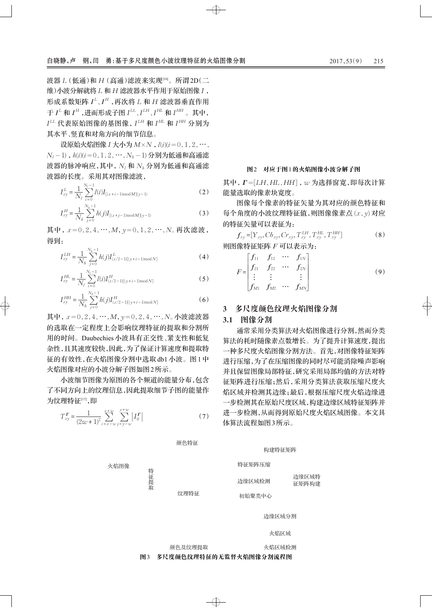波器 L (低通)和 H (高通)滤波来实现[16]。所谓2D(二 维)小波分解就将 L 和 H 滤波器水平作用于原始图像 I, 形成系数矩阵 *I'、I''* ,再次将 L 和 H 滤波器垂直作用 于 *I*<sup>L</sup> 和 *I*<sup>H</sup> ,进而形成子图 I<sup>LL</sup> 、I<sup>LH</sup> 、I<sup>HL</sup> 和 I<sup>HH</sup> 。其中,  $I^{LL}$  代表原始图像的基图像, $I^{LH}$  和  $I^{HL}$  和  $I^{HH}$  分别为 其水平、竖直和对角方向的细节信息。

设原始火焰图像 *I* 大小为  $M \times N$ ,  $l(i)(i=0,1,2,\cdots,$  $N_l - 1$ ),  $h(i)(i = 0, 1, 2, \cdots, N_h - 1)$ 分别为低通和高通滤 波器的脉冲响应,其中, N<sub>*l*</sub> 和 N<sub>h</sub> 分别为低通和高通滤 波器的长度。采用其对图像滤波,

$$
I_{xy}^L = \frac{1}{N_l} \sum_{i=0}^{N_l - 1} l(i) I_{[(x+i-1) \text{mod } M](y-1)}
$$
 (2)

$$
I_{xy}^H = \frac{1}{N_h} \sum_{j=0}^{N_h - 1} h(j) I_{[(x+j-1) \text{mod } M](y-1)}
$$
(3)

其中,  $x=0, 2, 4, \cdots, M$ ,  $y=0, 1, 2, \cdots, N$ 。再次滤波, 得到:

$$
I_{xy}^{LH} = \frac{1}{N_h} \sum_{j=0}^{N_h-1} h(j) I_{(x/2-1)[(y+i-1) \text{mod } N]}^{L}
$$
 (4)

$$
I_{xy}^{HL} = \frac{1}{N_l} \sum_{i=0}^{N_l - 1} l(i) I_{(x/2-1)[(y+i-1) \text{mod } N]}^{HL}
$$
 (5)

$$
I_{xy}^{HH} = \frac{1}{N_h} \sum_{j=0}^{N_h-1} h(j) I_{(x/2-1)[(y+i-1) \text{mod } N]}^{H}
$$
 (6)

其中, x=0, 2, 4, …, *M*, y=0, 2, 4, …, *N*。小波滤波器 的选取在一定程度上会影响纹理特征的提取和分割所 用的时间。Daubechies小波具有正交性、紧支性和低复 杂性,且其速度较快,因此,为了保证计算速度和提取特 征的有效性, 在火焰图像分割中选取 db1 小波。图1中 火焰图像对应的小波分解子图如图2所示。

小波细节图像为原图的各个频道的能量分布,包含 了不同方向上的纹理信息,因此提取细节子图的能量作 为纹理特征[17],即

$$
T_{xy}^{\Gamma} = \frac{1}{(2w+1)^2} \sum_{i=x-w}^{x+w} \sum_{j=y-w}^{y+w} |I_j^{\Gamma}| \tag{7}
$$

颜色特征

火焰图像

```
礼
述
汰
襖
```
纹理特征

```
初始聚类中心
```
特征矩阵压缩

边缘区域检测

边缘区域分割

构建特征矩阵

遊梨浦愚

**额鱼及纹理提取 医心室** 医心包区试检测

图3 多尺度颜色纹理特征的无监督火焰图像分割流程图

 $\oplus$ 

#### 图2 对应于图1的火焰图像小波分解子图

其中,  $\Gamma$ =[LH, HL, HH], ω 为选择窗宽, 即每次计算 能量洗取的像素块宽度。

图像每个像素的特征矢量为其对应的颜色特征和 每个角度的小波纹理特征值,则图像像素点(x,y)对应 的特征矢量可以表征为:

$$
f_{xy} = [Y_{xy}, Cb_{xy}, Cr_{xy}, T_{xy}^{LH}, T_{xy}^{HL}, T_{xy}^{HH}]
$$
\n
$$
\text{M} \otimes \text{M} \otimes \text{M} \otimes \text{M} \otimes \text{M} \otimes \text{M} \otimes \text{M} \otimes \text{M} \otimes \text{M} \otimes \text{M} \otimes \text{M} \otimes \text{M} \otimes \text{M} \otimes \text{M} \otimes \text{M} \otimes \text{M} \otimes \text{M} \otimes \text{M} \otimes \text{M} \otimes \text{M} \otimes \text{M} \otimes \text{M} \otimes \text{M} \otimes \text{M} \otimes \text{M} \otimes \text{M} \otimes \text{M} \otimes \text{M} \otimes \text{M} \otimes \text{M} \otimes \text{M} \otimes \text{M} \otimes \text{M} \otimes \text{M} \otimes \text{M} \otimes \text{M} \otimes \text{M} \otimes \text{M} \otimes \text{M} \otimes \text{M} \otimes \text{M} \otimes \text{M} \otimes \text{M} \otimes \text{M} \otimes \text{M} \otimes \text{M} \otimes \text{M} \otimes \text{M} \otimes \text{M} \otimes \text{M} \otimes \text{M} \otimes \text{M} \otimes \text{M} \otimes \text{M} \otimes \text{M} \otimes \text{M} \otimes \text{M} \otimes \text{M} \otimes \text{M} \otimes \text{M} \otimes \text{M} \otimes \text{M} \otimes \text{M} \otimes \text{M} \otimes \text{M} \otimes \text{M} \otimes \text{M} \otimes \text{M} \otimes \text{M} \otimes \text{M} \otimes \text{M} \otimes \text{M} \otimes \text{M} \otimes \text{M} \otimes \text{M} \otimes \text{M} \otimes \text{M} \otimes \text{M} \otimes \text{M} \otimes \text{M} \otimes \text{M} \otimes \text{M} \otimes \text{M} \otimes \text{M} \otimes \text{M} \otimes \text{M} \otimes \text{M} \otimes \text{M} \otimes \text{M
$$

$$
F = \begin{bmatrix} f_{11} & f_{12} & \cdots & f_{1N} \\ f_{21} & f_{22} & \cdots & f_{2N} \\ \vdots & \vdots & & \vdots \\ f_{M1} & f_{M2} & \cdots & f_{MN} \end{bmatrix}
$$
(9)

#### 3 多尺度颜色纹理火焰图像分割

#### **3.1 图像分割**

通常采用分类算法对火焰图像进行分割,然而分类 算法的耗时随像素点数增长。为了提升计算速度,提出 一种多尺度火焰图像分割方法。首先,对图像特征矩阵 进行压缩,为了在压缩图像的同时尽可能消除噪声影响 并且保留图像局部特征,研究采用局部均值的方法对特 征矩阵进行压缩;然后,采用分类算法获取压缩尺度火 焰区域并检测其边缘;最后,根据压缩尺度火焰边缘进 一步检测其在原始尺度区域,构建边缘区域特征矩阵并 进一步检测,从而得到原始尺度火焰区域图像。本文具 体算法流程如图3所示。

> 边缘区域特 征矩阵构建

| 火焰区 |
|-----|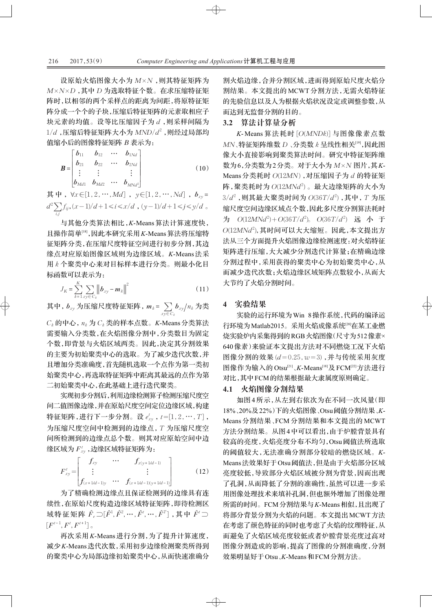设原始火焰图像大小为 M×N,则其特征矩阵为  $M \times N \times D$ , 其中 *D* 为选取特征个数。在求压缩特征矩 阵时,以相邻的两个采样点的距离为间距,将原特征矩 阵分成一个个的子块,压缩后特征矩阵的元素取相应子 块元素的均值。设等比压缩因子为 d,则采样间隔为  $1/d$  ,压缩后特征矩阵大小为  $MND/d^2$  ,则经过局部均 值缩小后的图像特征矩阵 B 表示为:

$$
\boldsymbol{B} = \begin{bmatrix} b_{11} & b_{12} & \cdots & b_{1Nd} \\ b_{21} & b_{22} & \cdots & b_{2Nd} \\ \vdots & \vdots & & \vdots \\ b_{Md1} & b_{Md2} & \cdots & b_{MNd} \end{bmatrix}
$$
 (10)

其中,  $\forall x \in [1, 2, \cdots, Md]$ ,  $y \in [1, 2, \cdots, Nd]$ ,  $b_{xy} =$  $d^2 \sum f_{ij}$ ,  $(x-1)/d+1 \le i \le x/d$ ,  $(y-1)/d+1 \le j \le y/d$  。 *i,j*

与其他分类算法相比, K-Means 算法计算速度快, 且操作简单<sup>[18]</sup>,因此本研究采用K-Means算法将压缩特 征矩阵分类,在压缩尺度特征空间进行初步分割,其边 缘点对应原始图像区域则为边缘区域。K-Means 法采 用k个聚类中心来对目标样本进行分类。则最小化目 标函数可以表示为:

$$
J_K = \sum_{k=1}^{K} \sum_{xy \in C_k} ||b_{xy} - m_k||^2
$$
 (11)

其中 ,  $b_{xy}$  为压缩尺度特征矩阵 ,  $m_k$  =  $\sum\limits_{xy \in C_k} b_{xy}/n_k$  为类

 $C_k$ 的中心,  $n_k$ 为 $C_k$ 类的样本点数。 $K$ -Means分类算法 需要输入分类数,在火焰图像分割中,分类数目为固定 个数,即背景与火焰区域两类。因此,决定其分割效果 的主要为初始聚类中心的选取。为了减少迭代次数,并 且增加分类准确度,首先随机选取一个点作为第一类初 始聚类中心,再选取特征矩阵中距离其最远的点作为第 二初始聚类中心,在此基础上进行迭代聚类。

实现初步分割后,利用边缘检测算子检测压缩尺度空 间二值图像边缘,并在原始尺度空间定位边缘区域,构建 特征矩阵,进行下一步分割。设 $e_{xy}^t$ ,  $t=[1,2,\cdots,T]$ , 为压缩尺度空间中检测到的边缘点, T 为压缩尺度空 间所检测到的边缘点总个数。则其对应原始空间中边 缘区域为  $F_{xy}^t$  ,边缘区域特征矩阵为:

$$
F_{xy}^{t} = \begin{bmatrix} f_{xy} & \cdots & f_{x(y+1/d-1)} \\ \vdots & & \vdots \\ f_{(x+1/d-1)y} & \cdots & f_{(x+1/d-1)(y+1/d-1)} \end{bmatrix}
$$
 (12)

为了精确检测边缘点且保证检测到的边缘具有连 续性,在原始尺度构造边缘区域特征矩阵,即待检测区 域特征矩阵  $\hat{F}_e$ ⊃[ $\hat{F}^1$ , $\hat{F}^2$ ,…, $\hat{F}^t$ ,…, $\hat{F}^T$ ],其中  $\hat{F}^t$ つ  $\left[F^{t-1},F^t,F^{t+1}\right]$  or

再次采用 K-Means 进行分割, 为了提升计算速度, 减少K-Means迭代次数,采用初步边缘检测聚类所得到 的聚类中心为局部边缘初始聚类中心,从而快速准确分 割火焰边缘,合并分割区域,进而得到原始尺度火焰分 割结果。本文提出的MCWT分割方法,无需火焰特征 的先验信息以及人为根据火焰状况设定或调整参数,从 而达到无监督分割的目的。

#### 3.2 算法计算量分析

 $K$ - Means 算法耗时 [*O*(*MNDk*)] 与图像像素点数  $MN$ 、特征矩阵维数 *D* 、分类数 k 呈线性相关<sup>[19]</sup>,因此图 像大小直接影响到聚类算法时间。研究中特征矩阵维 数为6,分类数为2分类。对于大小为  $M \times N$  图片,其K-Means分类耗时  $O(12MN)$ , 对压缩因子为 d 的特征矩  $f$ 阵,聚类耗时为 $\,O(12MNd^2)$ 。最大边缘矩阵的大小为 3/ $d^2$  ,则其最大聚类时间为 O(36T/ $d^2$ ) ,其中 , T 为压 缩尺度空间边缘区域点个数,因此多尺度分割算法耗时 为 *O*(12MNd<sup>2</sup>)+O(36T/d<sup>2</sup>)。O(36T/d<sup>2</sup>) 远 小 于  $O(12MNd^2)$ , 其时间可以大大缩短。因此,本文提出方 法从三个方面提升火焰图像边缘检测速度:对火焰特征 矩阵进行压缩,大大减少分割迭代计算量;在精确边缘 分割过程中,采用获得的聚类中心为初始聚类中心,从 而减少迭代次数;火焰边缘区域矩阵点数较小,从而大 大节约了火焰分割时间。

#### **4** 穀頤戛桃

 $\oplus$ 

实验的运行环境为Win 8操作系统,代码的编译运 行环境为Matlab2015。采用火焰成像系统[20]在某工业燃 烧实验炉内采集得到的RGB火焰图像(尺寸为512像素× 640 像素)来验证本文提出方法对不同燃烧工况下火焰 图像分割的效果 (d = 0.25, w = 3), 并与传统采用灰度 图像作为输入的Otsu<sup>[21]</sup>、K-Means<sup>[18]</sup>及FCM<sup>[22]</sup>方法进行 对比,其中FCM的结果根据最大隶属度原则确定。

#### 4.1 火焰图像分割结果

如图 4 所示, 从左到右依次为在不同一次风量(即 18%、20%及22%)下的火焰图像、Otsu阈值分割结果、K-Means 分割结果、FCM 分割结果和本文提出的 MCWT 方法分割结果。从图4中可以看出,由于炉膛背景具有 较高的亮度,火焰亮度分布不均匀,Otsu 阈值法所选取 的阈值较大,无法准确分割部分较暗的燃烧区域。K-Means 法效果好于 Otsu 阈值法, 但是由于火焰部分区域 亮度较低,导致部分火焰区域被分割为背景,因而出现 了孔洞,从而降低了分割的准确性,虽然可以进一步采 用图像处理技术来填补孔洞,但也额外增加了图像处理 所需的时间。FCM分割结果与K-Means相似,且出现了 将部分背景分割为火焰的问题。本文提出MCWT方法 在考虑了颜色特征的同时也考虑了火焰的纹理特征,从 而避免了火焰区域亮度较低或者炉膛背景亮度过高对 图像分割造成的影响,提高了图像的分割准确度,分割 效果明显好于Otsu、K-Means和FCM分割方法。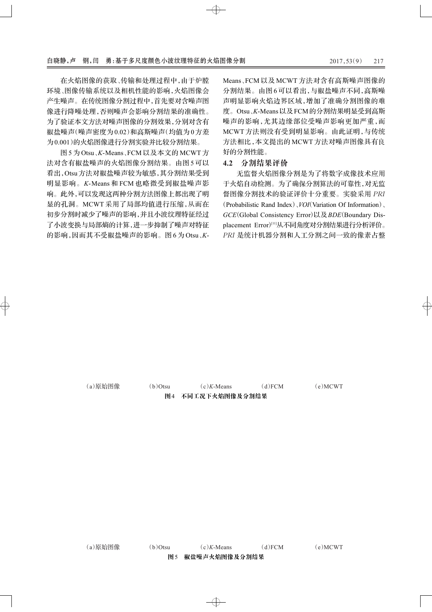在火焰图像的获取、传输和处理过程中,由于炉膛 环境、图像传输系统以及相机性能的影响,火焰图像会 产生噪声。在传统图像分割过程中,首先要对含噪声图 像进行降噪处理,否则噪声会影响分割结果的准确性。 为了验证本文方法对噪声图像的分割效果,分别对含有 椒盐噪声(噪声密度为0.02)和高斯噪声(均值为0方差 为0.001)的火焰图像进行分割实验并比较分割结果。

图 5 为 Otsu、K-Means、FCM 以及本文的 MCWT 方 法对含有椒盐噪声的火焰图像分割结果。由图5可以 看出, Otsu 方法对椒盐噪声较为敏感, 其分割结果受到 明显影响。K-Means 和 FCM 也略微受到椒盐噪声影 响。此外,可以发现这两种分割方法图像上都出现了明 显的孔洞。MCWT 采用了局部均值进行压缩, 从而在 初步分割时减少了噪声的影响,并且小波纹理特征经过 了小波变换与局部熵的计算,进一步抑制了噪声对特征 的影响,因而其不受椒盐噪声的影响。图6为Otsu、K-

Means、FCM 以及 MCWT 方法对含有高斯噪声图像的 分割结果。由图6可以看出,与椒盐噪声不同,高斯噪 声明显影响火焰边界区域,增加了准确分割图像的难 度。Otsu、K-Means 以及 FCM 的分割结果明显受到高斯 噪声的影响,尤其边缘部位受噪声影响更加严重,而 MCWT 方法则没有受到明显影响。由此证明, 与传统 方法相比,本文提出的MCWT方法对噪声图像具有良 好的分割性能。

#### 4.2 分割结果评价

无监督火焰图像分割是为了将数字成像技术应用 于火焰自动检测。为了确保分割算法的可靠性,对无监 督图像分割技术的验证评价十分重要。实验采用 PRI (Probabilistic Rand Index), *VOI*(Variation Of Information), GCE(Global Consistency Error)以及 BDE(Boundary Displacement Error)[11]从不同角度对分割结果进行分析评价。 PRI 是统计机器分割和人工分割之间一致的像素占整

(a)原始图像 (b)Otsu (c)K-Means (d)FCM (e)MCWT

图4 不同工况下火焰图像及分割结果

(a)原始图像 (b)Otsu (c)*K*-Means (d)FCM (e)MCWT 图5 椒盐噪声火焰图像及分割结果

 $\oplus$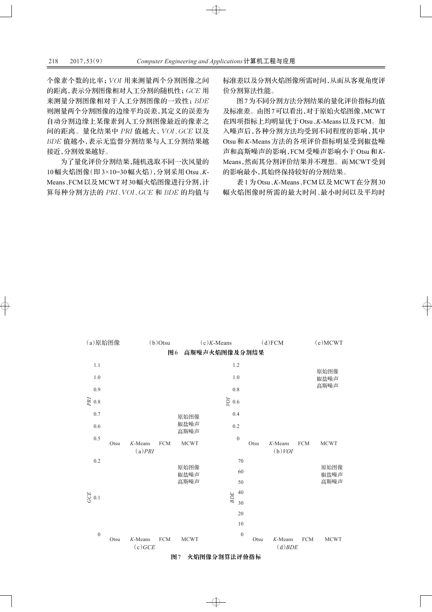个像素个数的比率; VOI 用来测量两个分割图像之间 的距离,表示分割图像相对人工分割的随机性; GCE 用 来测量分割图像相对于人工分割图像的一致性; BDE 则测量两个分割图像的边缘平均误差,其定义的误差为 自动分割边缘上某像素到人工分割图像最近的像素之 间的距离。量化结果中 PRI 值越大, VOI、GCE 以及 BDE 值越小, 表示无监督分割结果与人工分割结果越 接近,分割效果越好。

为了量化评价分割结果,随机选取不同一次风量的 10 幅火焰图像 (即 3×10=30 幅火焰), 分别采用 Otsu、K-Means、FCM以及MCWT对30幅火焰图像进行分割,计 算每种分割方法的 PRI、VOI、GCE 和 BDE 的均值与

标准差以及分割火焰图像所需时间,从而从客观角度评 价分割算法性能。

图7为不同分割方法分割结果的量化评价指标均值 及标准差。由图7可以看出, 对于原始火焰图像, MCWT 在四项指标上均明显优于Otsu、K-Means以及FCM。加 入噪声后,各种分割方法均受到不同程度的影响,其中 Otsu 和 K-Means 方法的各项评价指标明显受到椒盐噪 声和高斯噪声的影响, FCM 受噪声影响小于Otsu 和 K-Means,然而其分割评价结果并不理想。而MCWT受到 的影响最小,其始终保持较好的分割结果。

表 1 为 Otsu、K-Means、FCM 以及 MCWT 在分割 30 幅火焰图像时所需的最大时间、最小时间以及平均时



#### 图7 火焰图像分割算法评价指标